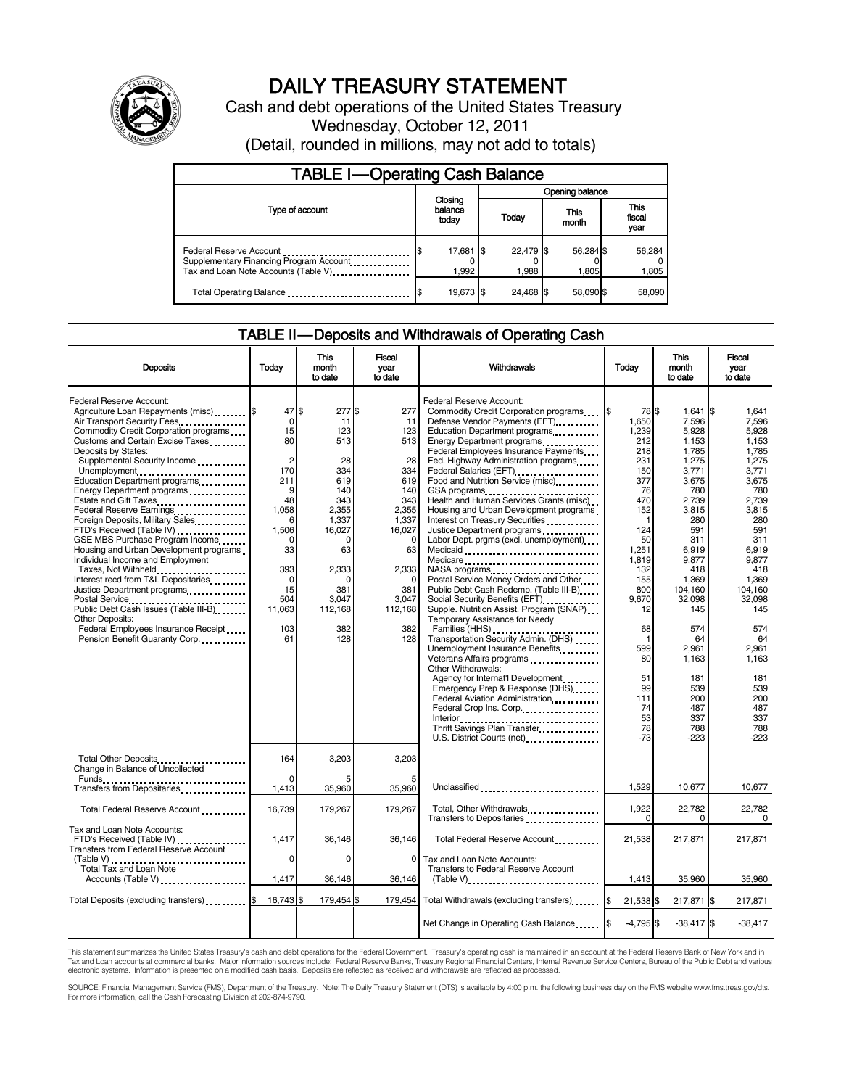

# DAILY TREASURY STATEMENT

Cash and debt operations of the United States Treasury Wednesday, October 12, 2011 (Detail, rounded in millions, may not add to totals)

| <b>TABLE I-Operating Cash Balance</b>                                            |                             |                    |                    |                               |  |  |  |
|----------------------------------------------------------------------------------|-----------------------------|--------------------|--------------------|-------------------------------|--|--|--|
|                                                                                  |                             | Opening balance    |                    |                               |  |  |  |
| Type of account                                                                  | Closing<br>balance<br>today | Today              | This<br>month      | <b>This</b><br>fiscal<br>year |  |  |  |
| Tax and Loan Note Accounts (Table V) <b>Tax</b> and Loan Note Accounts (Table V) | 17,681 \$<br>1.992          | 22,479 \$<br>1.988 | 56,284 \$<br>1.805 | 56,284<br>1,805               |  |  |  |
| Total Operating Balance                                                          | 19,673 \$                   | 24.468 \$          | 58.090 \$          | 58,090                        |  |  |  |

### TABLE II — Deposits and Withdrawals of Operating Cash

| <b>Deposits</b>                                                                                                                                                                                                                                                                                                                                                                                                                                                                                                                                                                                                                                                                                                                                                                                                        | Todav                                                                                                                                                    | <b>This</b><br>month<br>to date                                                                                                                            | <b>Fiscal</b><br>year<br>to date                                                                                                                                         | Withdrawals                                                                                                                                                                                                                                                                                                                                                                                                                                                                                                                                                                                                                                                                                                                                                                                                                                                                                                                                                                                          | Today                                                                                                                                                                                             | <b>This</b><br>month<br>to date                                                                                                                                                                                                            | Fiscal<br>vear<br>to date                                                                                                                                                                                                     |
|------------------------------------------------------------------------------------------------------------------------------------------------------------------------------------------------------------------------------------------------------------------------------------------------------------------------------------------------------------------------------------------------------------------------------------------------------------------------------------------------------------------------------------------------------------------------------------------------------------------------------------------------------------------------------------------------------------------------------------------------------------------------------------------------------------------------|----------------------------------------------------------------------------------------------------------------------------------------------------------|------------------------------------------------------------------------------------------------------------------------------------------------------------|--------------------------------------------------------------------------------------------------------------------------------------------------------------------------|------------------------------------------------------------------------------------------------------------------------------------------------------------------------------------------------------------------------------------------------------------------------------------------------------------------------------------------------------------------------------------------------------------------------------------------------------------------------------------------------------------------------------------------------------------------------------------------------------------------------------------------------------------------------------------------------------------------------------------------------------------------------------------------------------------------------------------------------------------------------------------------------------------------------------------------------------------------------------------------------------|---------------------------------------------------------------------------------------------------------------------------------------------------------------------------------------------------|--------------------------------------------------------------------------------------------------------------------------------------------------------------------------------------------------------------------------------------------|-------------------------------------------------------------------------------------------------------------------------------------------------------------------------------------------------------------------------------|
| Federal Reserve Account:<br>Agriculture Loan Repayments (misc) [\$<br>Air Transport Security Fees<br>Commodity Credit Corporation programs<br>Customs and Certain Excise Taxes<br>Deposits by States:<br>Supplemental Security Income<br>Unemployment<br>Education Department programs<br>Energy Department programs<br>Estate and Gift Taxes<br>Federal Reserve Earnings<br>Foreign Deposits, Military Sales<br>FTD's Received (Table IV)<br>GSE MBS Purchase Program Income<br>Housing and Urban Development programs<br>Individual Income and Employment<br>Taxes, Not Withheld<br>Interest recd from T&L Depositaries<br>Justice Department programs<br>Postal Service<br>Public Debt Cash Issues (Table III-B)<br><b>Other Deposits:</b><br>Federal Employees Insurance Receipt<br>Pension Benefit Guaranty Corp. | 47S<br>0<br>15<br>80<br>$\overline{2}$<br>170<br>211<br>9<br>48<br>1.058<br>6<br>1.506<br>0<br>33<br>393<br>$\Omega$<br>15<br>504<br>11.063<br>103<br>61 | 277 \$<br>11<br>123<br>513<br>28<br>334<br>619<br>140<br>343<br>2.355<br>1.337<br>16.027<br>0<br>63<br>2,333<br>0<br>381<br>3,047<br>112.168<br>382<br>128 | 277<br>11<br>123<br>513<br>28<br>334<br>619<br>140<br>343<br>2.355<br>1.337<br>16.027<br>$\mathbf 0$<br>63<br>2,333<br>$\Omega$<br>381<br>3.047<br>112.168<br>382<br>128 | Federal Reserve Account:<br>Commodity Credit Corporation programs<br>Defense Vendor Payments (EFT)<br>Education Department programs<br>Federal Employees Insurance Payments<br>Fed. Highway Administration programs<br>Federal Salaries (EFT)<br>Food and Nutrition Service (misc)<br>Health and Human Services Grants (misc)<br>Housing and Urban Development programs<br>Interest on Treasury Securities<br>Justice Department programs<br>Labor Dept. prgms (excl. unemployment)<br>Medicaid<br>Medicare<br>NASA programs<br>Postal Service Money Orders and Other<br>Public Debt Cash Redemp. (Table III-B)<br>Social Security Benefits (EFT)<br>1991 - The Social Security Benefits (EFT)<br>Supple. Nutrition Assist. Program (SNAP)<br>Temporary Assistance for Needy<br>Families (HHS)<br>Transportation Security Admin. (DHS)<br>Unemployment Insurance Benefits<br>Veterans Affairs programs<br>Other Withdrawals:<br>Agency for Internat'l Development<br>Emergency Prep & Response (DHS) | I\$<br>78 \$<br>1.650<br>1,239<br>212<br>218<br>231<br>150<br>377<br>76<br>470<br>152<br>1<br>124<br>50<br>1,251<br>1,819<br>132<br>155<br>800<br>9.670<br>12<br>68<br>1<br>599<br>80<br>51<br>99 | $1,641$ $\sqrt{5}$<br>7,596<br>5.928<br>1,153<br>1,785<br>1,275<br>3,771<br>3,675<br>780<br>2.739<br>3,815<br>280<br>591<br>311<br>6,919<br>9,877<br>418<br>1,369<br>104.160<br>32.098<br>145<br>574<br>64<br>2,961<br>1,163<br>181<br>539 | 1.641<br>7.596<br>5.928<br>1.153<br>1,785<br>1,275<br>3,771<br>3,675<br>780<br>2.739<br>3.815<br>280<br>591<br>311<br>6.919<br>9,877<br>418<br>1.369<br>104.160<br>32.098<br>145<br>574<br>64<br>2,961<br>1,163<br>181<br>539 |
|                                                                                                                                                                                                                                                                                                                                                                                                                                                                                                                                                                                                                                                                                                                                                                                                                        |                                                                                                                                                          |                                                                                                                                                            |                                                                                                                                                                          | Federal Aviation Administration<br>Federal Crop Ins. Corp.<br>Interior<br>Thrift Savings Plan Transfer<br>U.S. District Courts (net)                                                                                                                                                                                                                                                                                                                                                                                                                                                                                                                                                                                                                                                                                                                                                                                                                                                                 | 111<br>74<br>53<br>78<br>$-73$                                                                                                                                                                    | 200<br>487<br>337<br>788<br>$-223$                                                                                                                                                                                                         | 200<br>487<br>337<br>788<br>$-223$                                                                                                                                                                                            |
| Total Other Deposits<br>Change in Balance of Uncollected                                                                                                                                                                                                                                                                                                                                                                                                                                                                                                                                                                                                                                                                                                                                                               | 164<br><sup>0</sup>                                                                                                                                      | 3,203                                                                                                                                                      | 3,203                                                                                                                                                                    |                                                                                                                                                                                                                                                                                                                                                                                                                                                                                                                                                                                                                                                                                                                                                                                                                                                                                                                                                                                                      |                                                                                                                                                                                                   |                                                                                                                                                                                                                                            |                                                                                                                                                                                                                               |
| Transfers from Depositaries                                                                                                                                                                                                                                                                                                                                                                                                                                                                                                                                                                                                                                                                                                                                                                                            | 1,413                                                                                                                                                    | 35,960                                                                                                                                                     | 35.960                                                                                                                                                                   | Unclassified                                                                                                                                                                                                                                                                                                                                                                                                                                                                                                                                                                                                                                                                                                                                                                                                                                                                                                                                                                                         | 1,529                                                                                                                                                                                             | 10,677                                                                                                                                                                                                                                     | 10,677                                                                                                                                                                                                                        |
| Total Federal Reserve Account                                                                                                                                                                                                                                                                                                                                                                                                                                                                                                                                                                                                                                                                                                                                                                                          | 16.739                                                                                                                                                   | 179,267                                                                                                                                                    | 179.267                                                                                                                                                                  | Total, Other Withdrawals<br>Transfers to Depositaries                                                                                                                                                                                                                                                                                                                                                                                                                                                                                                                                                                                                                                                                                                                                                                                                                                                                                                                                                | 1,922<br>$\Omega$                                                                                                                                                                                 | 22,782<br>0                                                                                                                                                                                                                                | 22.782<br>0                                                                                                                                                                                                                   |
| Tax and Loan Note Accounts:<br>FTD's Received (Table IV)<br><b>Transfers from Federal Reserve Account</b>                                                                                                                                                                                                                                                                                                                                                                                                                                                                                                                                                                                                                                                                                                              | 1,417                                                                                                                                                    | 36,146                                                                                                                                                     | 36,146                                                                                                                                                                   | Total Federal Reserve Account                                                                                                                                                                                                                                                                                                                                                                                                                                                                                                                                                                                                                                                                                                                                                                                                                                                                                                                                                                        | 21,538                                                                                                                                                                                            | 217,871                                                                                                                                                                                                                                    | 217,871                                                                                                                                                                                                                       |
| Accounts (Table V)                                                                                                                                                                                                                                                                                                                                                                                                                                                                                                                                                                                                                                                                                                                                                                                                     | 0<br>1,417                                                                                                                                               | 0<br>36,146                                                                                                                                                | 0<br>36,146                                                                                                                                                              | Tax and Loan Note Accounts:<br>Transfers to Federal Reserve Account                                                                                                                                                                                                                                                                                                                                                                                                                                                                                                                                                                                                                                                                                                                                                                                                                                                                                                                                  | 1,413                                                                                                                                                                                             | 35,960                                                                                                                                                                                                                                     | 35,960                                                                                                                                                                                                                        |
| Total Deposits (excluding transfers) <b>S</b>                                                                                                                                                                                                                                                                                                                                                                                                                                                                                                                                                                                                                                                                                                                                                                          | 16.743 \$                                                                                                                                                | 179,454 \$                                                                                                                                                 | 179,454                                                                                                                                                                  | Total Withdrawals (excluding transfers) [\$                                                                                                                                                                                                                                                                                                                                                                                                                                                                                                                                                                                                                                                                                                                                                                                                                                                                                                                                                          | 21,538 \$                                                                                                                                                                                         | 217,871 \$                                                                                                                                                                                                                                 | 217,871                                                                                                                                                                                                                       |
|                                                                                                                                                                                                                                                                                                                                                                                                                                                                                                                                                                                                                                                                                                                                                                                                                        |                                                                                                                                                          |                                                                                                                                                            |                                                                                                                                                                          |                                                                                                                                                                                                                                                                                                                                                                                                                                                                                                                                                                                                                                                                                                                                                                                                                                                                                                                                                                                                      |                                                                                                                                                                                                   |                                                                                                                                                                                                                                            |                                                                                                                                                                                                                               |
|                                                                                                                                                                                                                                                                                                                                                                                                                                                                                                                                                                                                                                                                                                                                                                                                                        |                                                                                                                                                          |                                                                                                                                                            |                                                                                                                                                                          | Net Change in Operating Cash Balance                                                                                                                                                                                                                                                                                                                                                                                                                                                                                                                                                                                                                                                                                                                                                                                                                                                                                                                                                                 | $-4,795$ \$<br>I\$                                                                                                                                                                                | $-38,417$ \$                                                                                                                                                                                                                               | $-38,417$                                                                                                                                                                                                                     |

This statement summarizes the United States Treasury's cash and debt operations for the Federal Government. Treasury's operating cash is maintained in an account at the Federal Reserve Bank of New York and in<br>Tax and Loan

SOURCE: Financial Management Service (FMS), Department of the Treasury. Note: The Daily Treasury Statement (DTS) is available by 4:00 p.m. the following business day on the FMS website www.fms.treas.gov/dts.<br>For more infor